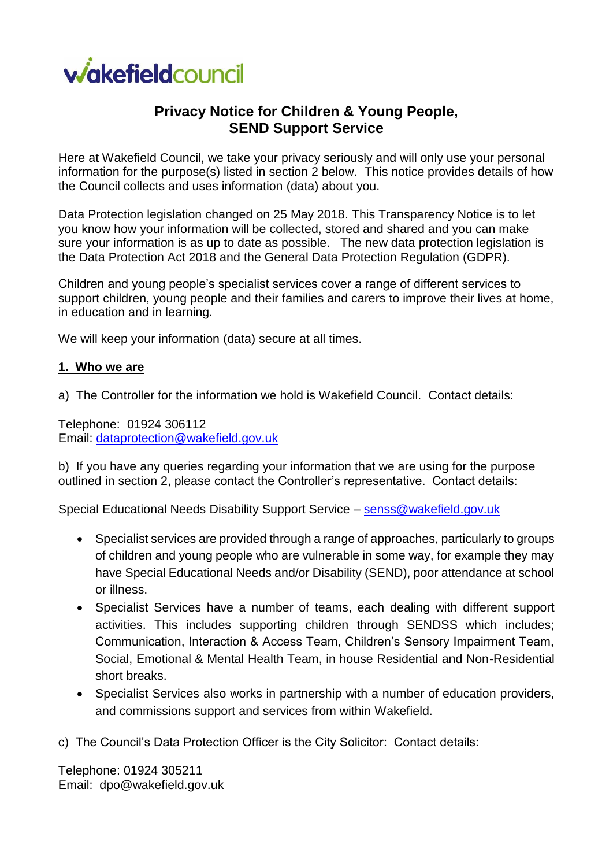

# **Privacy Notice for Children & Young People, SEND Support Service**

Here at Wakefield Council, we take your privacy seriously and will only use your personal information for the purpose(s) listed in section 2 below. This notice provides details of how the Council collects and uses information (data) about you.

Data Protection legislation changed on 25 May 2018. This Transparency Notice is to let you know how your information will be collected, stored and shared and you can make sure your information is as up to date as possible. The new data protection legislation is the Data Protection Act 2018 and the General Data Protection Regulation (GDPR).

Children and young people's specialist services cover a range of different services to support children, young people and their families and carers to improve their lives at home, in education and in learning.

We will keep your information (data) secure at all times.

#### **1. Who we are**

a) The Controller for the information we hold is Wakefield Council. Contact details:

Telephone: 01924 306112 Email: [dataprotection@wakefield.gov.uk](mailto:dataprotection@wakefield.gov.uk)

b) If you have any queries regarding your information that we are using for the purpose outlined in section 2, please contact the Controller's representative. Contact details:

Special Educational Needs Disability Support Service – [senss@wakefield.gov.uk](mailto:senss@wakefield.gov.uk)

- Specialist services are provided through a range of approaches, particularly to groups of children and young people who are vulnerable in some way, for example they may have Special Educational Needs and/or Disability (SEND), poor attendance at school or illness.
- Specialist Services have a number of teams, each dealing with different support activities. This includes supporting children through SENDSS which includes; Communication, Interaction & Access Team, Children's Sensory Impairment Team, Social, Emotional & Mental Health Team, in house Residential and Non-Residential short breaks.
- Specialist Services also works in partnership with a number of education providers, and commissions support and services from within Wakefield.
- c) The Council's Data Protection Officer is the City Solicitor: Contact details:

Telephone: 01924 305211 Email: dpo@wakefield.gov.uk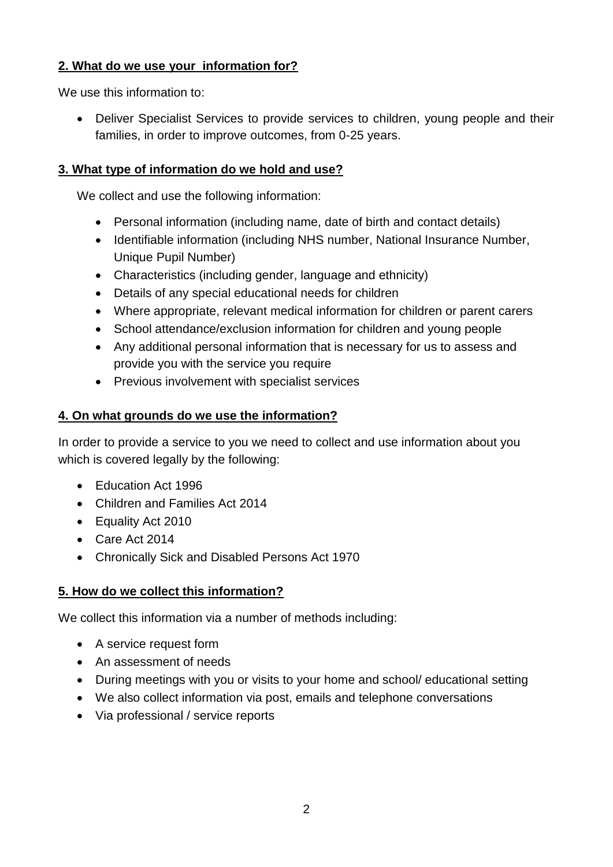# **2. What do we use your information for?**

We use this information to:

• Deliver Specialist Services to provide services to children, young people and their families, in order to improve outcomes, from 0-25 years.

# **3. What type of information do we hold and use?**

We collect and use the following information:

- Personal information (including name, date of birth and contact details)
- Identifiable information (including NHS number, National Insurance Number, Unique Pupil Number)
- Characteristics (including gender, language and ethnicity)
- Details of any special educational needs for children
- Where appropriate, relevant medical information for children or parent carers
- School attendance/exclusion information for children and young people
- Any additional personal information that is necessary for us to assess and provide you with the service you require
- Previous involvement with specialist services

# **4. On what grounds do we use the information?**

In order to provide a service to you we need to collect and use information about you which is covered legally by the following:

- Education Act 1996
- Children and Families Act 2014
- Equality Act 2010
- Care Act 2014
- Chronically Sick and Disabled Persons Act 1970

## **5. How do we collect this information?**

We collect this information via a number of methods including:

- A service request form
- An assessment of needs
- During meetings with you or visits to your home and school/ educational setting
- We also collect information via post, emails and telephone conversations
- Via professional / service reports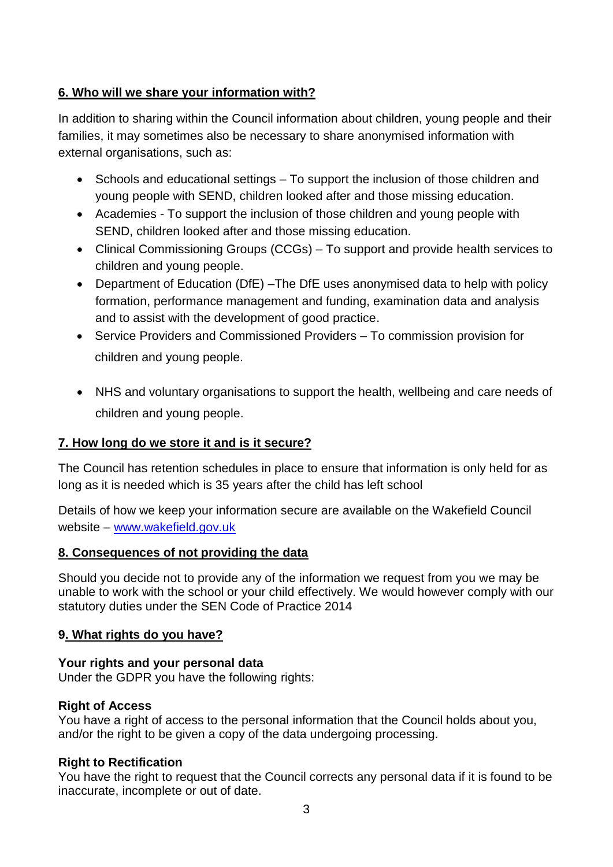# **6. Who will we share your information with?**

In addition to sharing within the Council information about children, young people and their families, it may sometimes also be necessary to share anonymised information with external organisations, such as:

- Schools and educational settings To support the inclusion of those children and young people with SEND, children looked after and those missing education.
- Academies To support the inclusion of those children and young people with SEND, children looked after and those missing education.
- Clinical Commissioning Groups (CCGs) To support and provide health services to children and young people.
- Department of Education (DfE) –The DfE uses anonymised data to help with policy formation, performance management and funding, examination data and analysis and to assist with the development of good practice.
- Service Providers and Commissioned Providers To commission provision for children and young people.
- NHS and voluntary organisations to support the health, wellbeing and care needs of children and young people.

## **7. How long do we store it and is it secure?**

The Council has retention schedules in place to ensure that information is only held for as long as it is needed which is 35 years after the child has left school

Details of how we keep your information secure are available on the Wakefield Council website – [www.wakefield.gov.uk](http://www.wakefield.gov.uk/)

## **8. Consequences of not providing the data**

Should you decide not to provide any of the information we request from you we may be unable to work with the school or your child effectively. We would however comply with our statutory duties under the SEN Code of Practice 2014

## **9. What rights do you have?**

## **Your rights and your personal data**

Under the GDPR you have the following rights:

## **Right of Access**

You have a right of access to the personal information that the Council holds about you, and/or the right to be given a copy of the data undergoing processing.

## **Right to Rectification**

You have the right to request that the Council corrects any personal data if it is found to be inaccurate, incomplete or out of date.